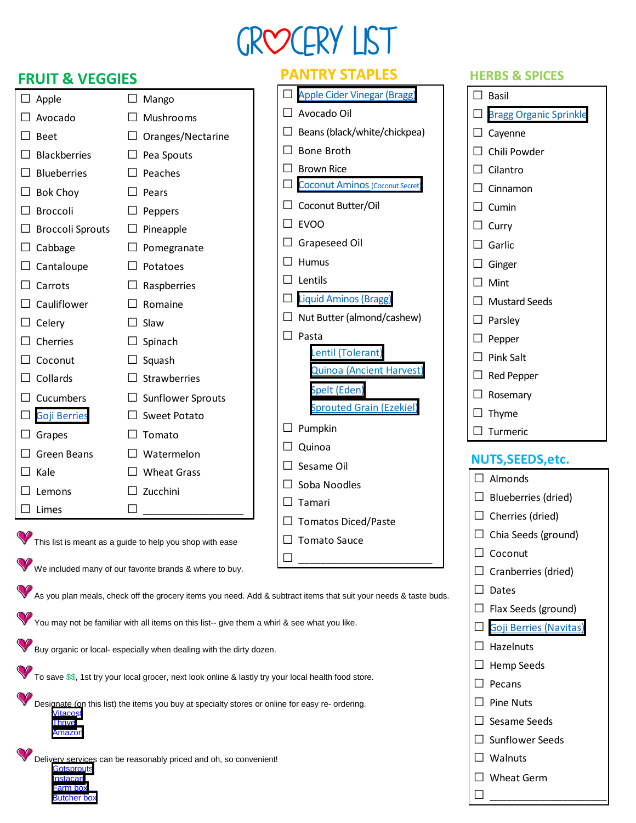# GROCERY LIST

| <b>FRUIT &amp; VEGGIES</b>                                                                           |                                                                                              | <b>PANTRY STAPLES</b>                                                                                            | <b>HERBS &amp; SPICES</b>                             |
|------------------------------------------------------------------------------------------------------|----------------------------------------------------------------------------------------------|------------------------------------------------------------------------------------------------------------------|-------------------------------------------------------|
| $\Box$ Apple                                                                                         | $\Box$ Mango                                                                                 | <b>Apple Cider Vinegar (Bragg)</b>                                                                               | <b>Basil</b><br>$\Box$                                |
| Avocado<br>ΙI                                                                                        | Mushrooms                                                                                    | Avocado Oil<br>ΙI                                                                                                | $\Box$<br><b>Bragg Organic Sprinkle</b>               |
| $\Box$<br>Beet                                                                                       | Oranges/Nectarine                                                                            | Beans (black/white/chickpea)<br>⊔                                                                                | $\Box$<br>Cayenne                                     |
| <b>Blackberries</b><br>ΙI                                                                            | Pea Spouts                                                                                   | <b>Bone Broth</b><br>$\mathbf{I}$                                                                                | Chili Powder                                          |
| <b>Blueberries</b><br>ப                                                                              | Peaches                                                                                      | <b>Brown Rice</b><br>$\mathsf{L}$                                                                                | Cilantro                                              |
| <b>Bok Choy</b><br>ப                                                                                 | Pears                                                                                        | <b>Coconut Aminos (Coconut Secret)</b>                                                                           | Cinnamon                                              |
| Broccoli<br>ப                                                                                        | Peppers                                                                                      | Coconut Butter/Oil                                                                                               | Cumin<br>$\Box$                                       |
| <b>Broccoli Sprouts</b><br>⊔                                                                         | Pineapple<br>⊔                                                                               | <b>EVOO</b><br>$\mathsf{L}$                                                                                      | $\Box$ Curry                                          |
| Cabbage<br>$\Box$                                                                                    | Pomegranate                                                                                  | Grapeseed Oil                                                                                                    | Garlic<br>$\mathsf{L}$                                |
| Cantaloupe<br>$\sqcup$                                                                               | Potatoes                                                                                     | Humus                                                                                                            | $\Box$ Ginger                                         |
| Carrots<br>$\sqcup$                                                                                  | Raspberries                                                                                  | Lentils                                                                                                          | П<br>Mint                                             |
| Cauliflower<br>$\Box$                                                                                | Romaine                                                                                      | <b>Liquid Aminos (Bragg)</b>                                                                                     | <b>Mustard Seeds</b>                                  |
| Celery<br>⊔.                                                                                         | Slaw                                                                                         | Nut Butter (almond/cashew)<br>⊔                                                                                  | $\Box$<br>Parsley                                     |
| Cherries<br>ப                                                                                        | Spinach                                                                                      | $\Box$ Pasta                                                                                                     | $\Box$<br>Pepper                                      |
| Coconut<br>⊔                                                                                         | Squash                                                                                       | Lentil (Tolerant)                                                                                                | Pink Salt                                             |
| Collards                                                                                             | Strawberries                                                                                 | <b>Quinoa (Ancient Harvest)</b>                                                                                  | <b>Red Pepper</b>                                     |
| Cucumbers<br>⊔                                                                                       | Sunflower Sprouts                                                                            | Spelt (Eden)                                                                                                     | $\Box$<br>Rosemary                                    |
| <b>Goji Berries</b>                                                                                  | <b>Sweet Potato</b>                                                                          | <b>Sprouted Grain (Ezekiel)</b>                                                                                  | $\Box$ Thyme                                          |
| Grapes<br>ப                                                                                          | Tomato                                                                                       | Pumpkin<br>⊔                                                                                                     | Turmeric                                              |
| <b>Green Beans</b><br>⊔                                                                              | Watermelon                                                                                   | Quinoa                                                                                                           | <b>NUTS, SEEDS, etc.</b>                              |
| Kale<br>⊔                                                                                            | <b>Wheat Grass</b>                                                                           | Sesame Oil                                                                                                       | Almonds                                               |
| Lemons<br>ப                                                                                          | Zucchini                                                                                     | Soba Noodles                                                                                                     |                                                       |
| $\Box$ Limes                                                                                         | $\Box$                                                                                       | Tamari                                                                                                           | <b>Blueberries (dried)</b>                            |
|                                                                                                      |                                                                                              | $\Box$ Tomatos Diced/Paste                                                                                       | $\Box$ Cherries (dried)<br>$\Box$ Chia Seeds (ground) |
|                                                                                                      | This list is meant as a guide to help you shop with ease                                     | <b>Tomato Sauce</b>                                                                                              | $\Box$ Coconut                                        |
|                                                                                                      | We included many of our favorite brands & where to buy.                                      |                                                                                                                  | Cranberries (dried)                                   |
|                                                                                                      |                                                                                              |                                                                                                                  | Dates<br>ΙI                                           |
|                                                                                                      |                                                                                              | As you plan meals, check off the grocery items you need. Add & subtract items that suit your needs & taste buds. | Flax Seeds (ground)                                   |
|                                                                                                      | You may not be familiar with all items on this list-- give them a whirl & see what you like. |                                                                                                                  | <b>Goji Berries (Navitas)</b>                         |
| Buy organic or local- especially when dealing with the dirty dozen.                                  | Hazelnuts                                                                                    |                                                                                                                  |                                                       |
|                                                                                                      | <b>Hemp Seeds</b>                                                                            |                                                                                                                  |                                                       |
| To save \$\$, 1st try your local grocer, next look online & lastly try your local health food store. | Pecans                                                                                       |                                                                                                                  |                                                       |
| Designate (on this list) the items you buy at specialty stores or online for easy re- ordering.      | <b>Pine Nuts</b>                                                                             |                                                                                                                  |                                                       |
| Vitacost<br><b>Thrive</b>                                                                            | Sesame Seeds                                                                                 |                                                                                                                  |                                                       |
| Amazon                                                                                               |                                                                                              |                                                                                                                  | <b>Sunflower Seeds</b>                                |
| Delivery services can be reasonably priced and oh, so convenient!                                    | Walnuts<br>$\mathsf{L}$                                                                      |                                                                                                                  |                                                       |
| <b>Gotsprouts</b><br>Instacart                                                                       | Wheat Germ                                                                                   |                                                                                                                  |                                                       |
| Farm box<br><b>Butcher box</b>                                                                       |                                                                                              |                                                                                                                  |                                                       |